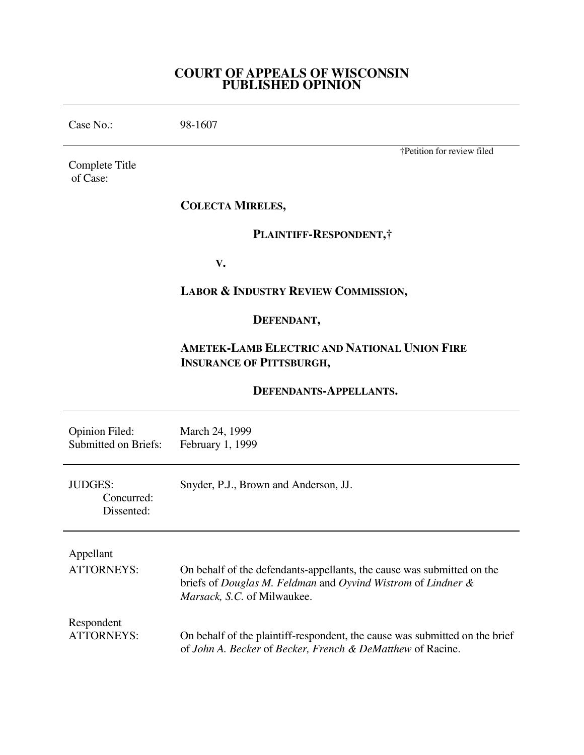### **COURT OF APPEALS OF WISCONSIN PUBLISHED OPINION**

Case No.: 98-1607 Complete Title of Case: †Petition for review filed **COLECTA MIRELES, PLAINTIFF-RESPONDENT,† V. LABOR & INDUSTRY REVIEW COMMISSION, DEFENDANT, AMETEK-LAMB ELECTRIC AND NATIONAL UNION FIRE INSURANCE OF PITTSBURGH, DEFENDANTS-APPELLANTS.** Opinion Filed: March 24, 1999 Submitted on Briefs: February 1, 1999 JUDGES: Snyder, P.J., Brown and Anderson, JJ. Concurred: Dissented: Appellant ATTORNEYS: On behalf of the defendants-appellants, the cause was submitted on the briefs of *Douglas M. Feldman* and *Oyvind Wistrom* of *Lindner & Marsack, S.C.* of Milwaukee. Respondent ATTORNEYS: On behalf of the plaintiff-respondent, the cause was submitted on the brief of *John A. Becker* of *Becker, French & DeMatthew* of Racine.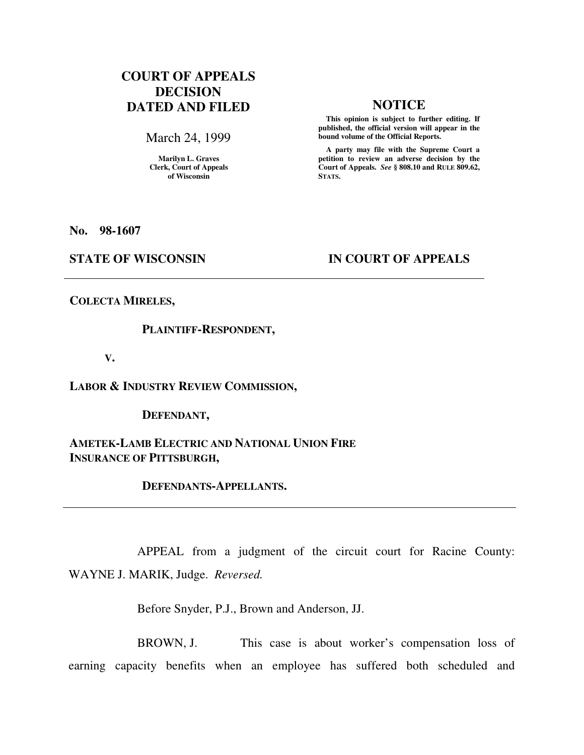# **COURT OF APPEALS DECISION DATED AND FILED NOTICE**

March 24, 1999

**Marilyn L. Graves Clerk, Court of Appeals of Wisconsin** 

 **This opinion is subject to further editing. If published, the official version will appear in the bound volume of the Official Reports.**

 **A party may file with the Supreme Court a petition to review an adverse decision by the Court of Appeals.** *See* **§ 808.10 and RULE 809.62, STATS.** 

**No. 98-1607** 

## **STATE OF WISCONSIN IN COURT OF APPEALS**

**COLECTA MIRELES,** 

### **PLAINTIFF-RESPONDENT,**

 **V.** 

**LABOR & INDUSTRY REVIEW COMMISSION,** 

 **DEFENDANT,** 

**AMETEK-LAMB ELECTRIC AND NATIONAL UNION FIRE INSURANCE OF PITTSBURGH,** 

 **DEFENDANTS-APPELLANTS.** 

 APPEAL from a judgment of the circuit court for Racine County: WAYNE J. MARIK, Judge. *Reversed.*

Before Snyder, P.J., Brown and Anderson, JJ.

 BROWN, J. This case is about worker's compensation loss of earning capacity benefits when an employee has suffered both scheduled and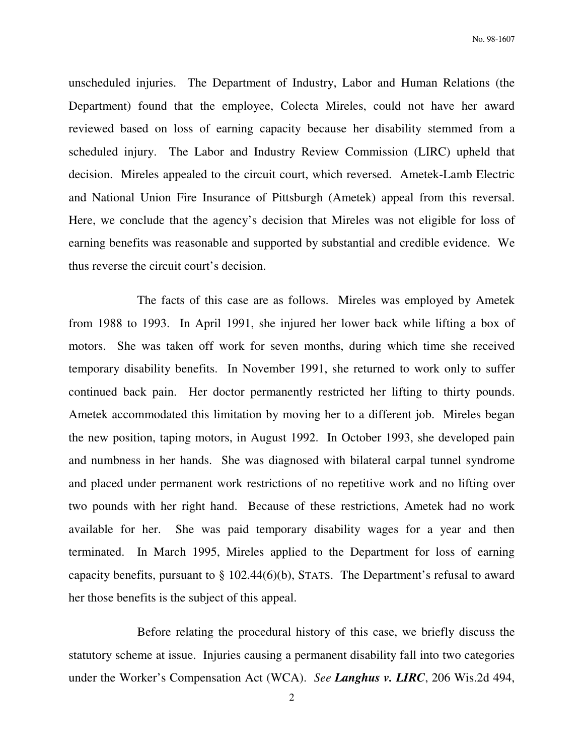unscheduled injuries. The Department of Industry, Labor and Human Relations (the Department) found that the employee, Colecta Mireles, could not have her award reviewed based on loss of earning capacity because her disability stemmed from a scheduled injury. The Labor and Industry Review Commission (LIRC) upheld that decision. Mireles appealed to the circuit court, which reversed. Ametek-Lamb Electric and National Union Fire Insurance of Pittsburgh (Ametek) appeal from this reversal. Here, we conclude that the agency's decision that Mireles was not eligible for loss of earning benefits was reasonable and supported by substantial and credible evidence. We thus reverse the circuit court's decision.

 The facts of this case are as follows. Mireles was employed by Ametek from 1988 to 1993. In April 1991, she injured her lower back while lifting a box of motors. She was taken off work for seven months, during which time she received temporary disability benefits. In November 1991, she returned to work only to suffer continued back pain. Her doctor permanently restricted her lifting to thirty pounds. Ametek accommodated this limitation by moving her to a different job. Mireles began the new position, taping motors, in August 1992. In October 1993, she developed pain and numbness in her hands. She was diagnosed with bilateral carpal tunnel syndrome and placed under permanent work restrictions of no repetitive work and no lifting over two pounds with her right hand. Because of these restrictions, Ametek had no work available for her. She was paid temporary disability wages for a year and then terminated. In March 1995, Mireles applied to the Department for loss of earning capacity benefits, pursuant to  $\S$  102.44(6)(b), STATS. The Department's refusal to award her those benefits is the subject of this appeal.

 Before relating the procedural history of this case, we briefly discuss the statutory scheme at issue. Injuries causing a permanent disability fall into two categories under the Worker's Compensation Act (WCA). *See Langhus v. LIRC*, 206 Wis.2d 494,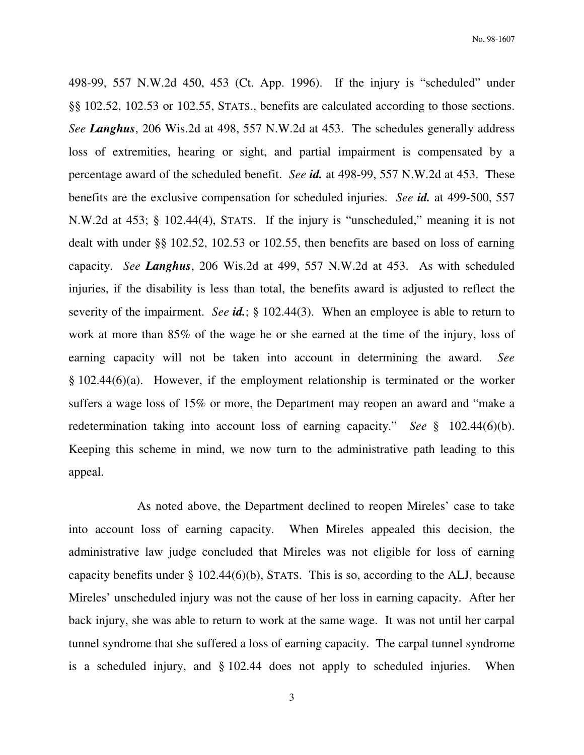498-99, 557 N.W.2d 450, 453 (Ct. App. 1996). If the injury is "scheduled" under §§ 102.52, 102.53 or 102.55, STATS., benefits are calculated according to those sections. *See Langhus*, 206 Wis.2d at 498, 557 N.W.2d at 453. The schedules generally address loss of extremities, hearing or sight, and partial impairment is compensated by a percentage award of the scheduled benefit. *See id.* at 498-99, 557 N.W.2d at 453. These benefits are the exclusive compensation for scheduled injuries. *See id.* at 499-500, 557 N.W.2d at 453; § 102.44(4), STATS. If the injury is "unscheduled," meaning it is not dealt with under §§ 102.52, 102.53 or 102.55, then benefits are based on loss of earning capacity. *See Langhus*, 206 Wis.2d at 499, 557 N.W.2d at 453. As with scheduled injuries, if the disability is less than total, the benefits award is adjusted to reflect the severity of the impairment. *See id.*; § 102.44(3). When an employee is able to return to work at more than 85% of the wage he or she earned at the time of the injury, loss of earning capacity will not be taken into account in determining the award. *See* § 102.44(6)(a). However, if the employment relationship is terminated or the worker suffers a wage loss of 15% or more, the Department may reopen an award and "make a redetermination taking into account loss of earning capacity." *See* § 102.44(6)(b). Keeping this scheme in mind, we now turn to the administrative path leading to this appeal.

 As noted above, the Department declined to reopen Mireles' case to take into account loss of earning capacity. When Mireles appealed this decision, the administrative law judge concluded that Mireles was not eligible for loss of earning capacity benefits under  $\S$  102.44(6)(b), STATS. This is so, according to the ALJ, because Mireles' unscheduled injury was not the cause of her loss in earning capacity. After her back injury, she was able to return to work at the same wage. It was not until her carpal tunnel syndrome that she suffered a loss of earning capacity. The carpal tunnel syndrome is a scheduled injury, and § 102.44 does not apply to scheduled injuries. When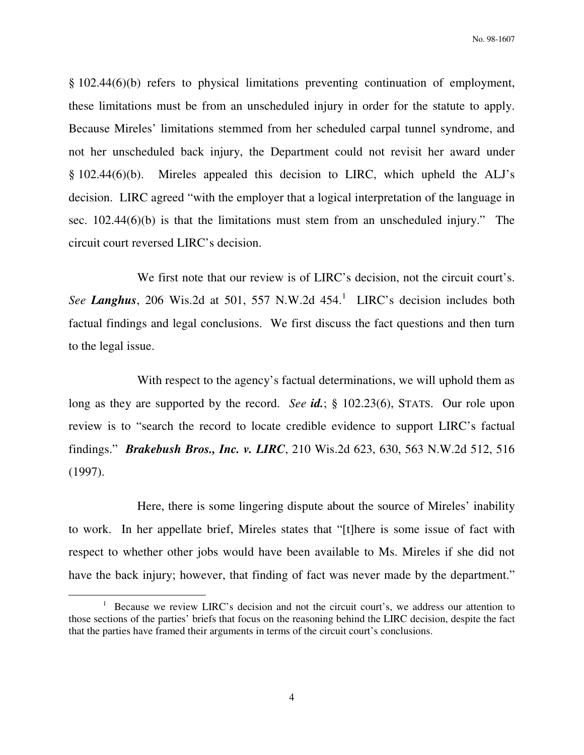§ 102.44(6)(b) refers to physical limitations preventing continuation of employment, these limitations must be from an unscheduled injury in order for the statute to apply. Because Mireles' limitations stemmed from her scheduled carpal tunnel syndrome, and not her unscheduled back injury, the Department could not revisit her award under § 102.44(6)(b). Mireles appealed this decision to LIRC, which upheld the ALJ's decision. LIRC agreed "with the employer that a logical interpretation of the language in sec. 102.44(6)(b) is that the limitations must stem from an unscheduled injury." The circuit court reversed LIRC's decision.

 We first note that our review is of LIRC's decision, not the circuit court's. See Langhus, 206 Wis.2d at 501, 557 N.W.2d  $454<sup>1</sup>$  LIRC's decision includes both factual findings and legal conclusions. We first discuss the fact questions and then turn to the legal issue.

 With respect to the agency's factual determinations, we will uphold them as long as they are supported by the record. *See id.*; § 102.23(6), STATS. Our role upon review is to "search the record to locate credible evidence to support LIRC's factual findings." *Brakebush Bros., Inc. v. LIRC*, 210 Wis.2d 623, 630, 563 N.W.2d 512, 516 (1997).

 Here, there is some lingering dispute about the source of Mireles' inability to work. In her appellate brief, Mireles states that "[t]here is some issue of fact with respect to whether other jobs would have been available to Ms. Mireles if she did not have the back injury; however, that finding of fact was never made by the department."

 $\overline{a}$ 

<sup>&</sup>lt;sup>1</sup> Because we review LIRC's decision and not the circuit court's, we address our attention to those sections of the parties' briefs that focus on the reasoning behind the LIRC decision, despite the fact that the parties have framed their arguments in terms of the circuit court's conclusions.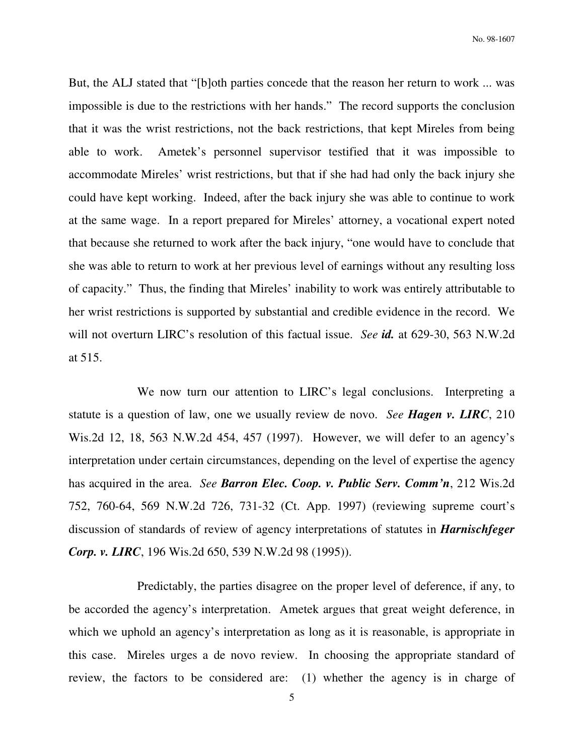But, the ALJ stated that "[b]oth parties concede that the reason her return to work ... was impossible is due to the restrictions with her hands." The record supports the conclusion that it was the wrist restrictions, not the back restrictions, that kept Mireles from being able to work. Ametek's personnel supervisor testified that it was impossible to accommodate Mireles' wrist restrictions, but that if she had had only the back injury she could have kept working. Indeed, after the back injury she was able to continue to work at the same wage. In a report prepared for Mireles' attorney, a vocational expert noted that because she returned to work after the back injury, "one would have to conclude that she was able to return to work at her previous level of earnings without any resulting loss of capacity." Thus, the finding that Mireles' inability to work was entirely attributable to her wrist restrictions is supported by substantial and credible evidence in the record. We will not overturn LIRC's resolution of this factual issue. *See id.* at 629-30, 563 N.W.2d at 515.

 We now turn our attention to LIRC's legal conclusions. Interpreting a statute is a question of law, one we usually review de novo. *See Hagen v. LIRC*, 210 Wis.2d 12, 18, 563 N.W.2d 454, 457 (1997). However, we will defer to an agency's interpretation under certain circumstances, depending on the level of expertise the agency has acquired in the area. *See Barron Elec. Coop. v. Public Serv. Comm'n*, 212 Wis.2d 752, 760-64, 569 N.W.2d 726, 731-32 (Ct. App. 1997) (reviewing supreme court's discussion of standards of review of agency interpretations of statutes in *Harnischfeger Corp. v. LIRC*, 196 Wis.2d 650, 539 N.W.2d 98 (1995)).

 Predictably, the parties disagree on the proper level of deference, if any, to be accorded the agency's interpretation. Ametek argues that great weight deference, in which we uphold an agency's interpretation as long as it is reasonable, is appropriate in this case. Mireles urges a de novo review. In choosing the appropriate standard of review, the factors to be considered are: (1) whether the agency is in charge of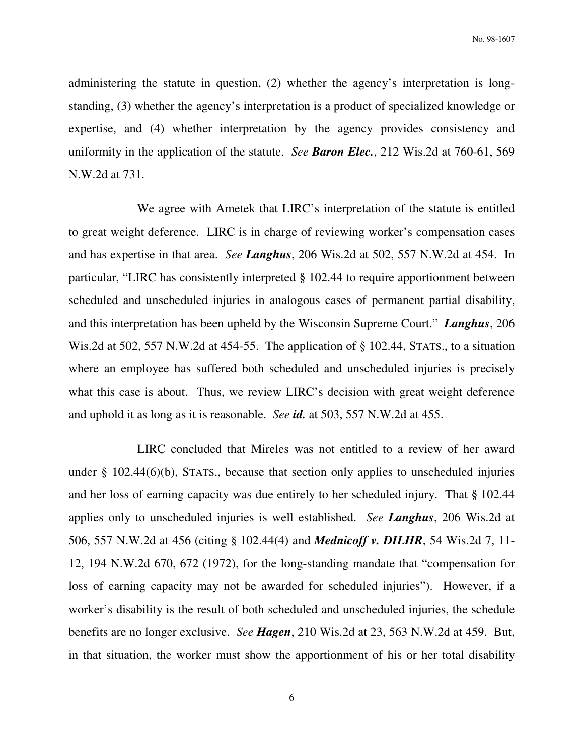administering the statute in question, (2) whether the agency's interpretation is longstanding, (3) whether the agency's interpretation is a product of specialized knowledge or expertise, and (4) whether interpretation by the agency provides consistency and uniformity in the application of the statute. *See Baron Elec.*, 212 Wis.2d at 760-61, 569 N.W.2d at 731.

 We agree with Ametek that LIRC's interpretation of the statute is entitled to great weight deference. LIRC is in charge of reviewing worker's compensation cases and has expertise in that area. *See Langhus*, 206 Wis.2d at 502, 557 N.W.2d at 454. In particular, "LIRC has consistently interpreted § 102.44 to require apportionment between scheduled and unscheduled injuries in analogous cases of permanent partial disability, and this interpretation has been upheld by the Wisconsin Supreme Court." *Langhus*, 206 Wis.2d at 502, 557 N.W.2d at 454-55. The application of § 102.44, STATS., to a situation where an employee has suffered both scheduled and unscheduled injuries is precisely what this case is about. Thus, we review LIRC's decision with great weight deference and uphold it as long as it is reasonable. *See id.* at 503, 557 N.W.2d at 455.

 LIRC concluded that Mireles was not entitled to a review of her award under § 102.44(6)(b), STATS., because that section only applies to unscheduled injuries and her loss of earning capacity was due entirely to her scheduled injury. That § 102.44 applies only to unscheduled injuries is well established. *See Langhus*, 206 Wis.2d at 506, 557 N.W.2d at 456 (citing § 102.44(4) and *Mednicoff v. DILHR*, 54 Wis.2d 7, 11- 12, 194 N.W.2d 670, 672 (1972), for the long-standing mandate that "compensation for loss of earning capacity may not be awarded for scheduled injuries"). However, if a worker's disability is the result of both scheduled and unscheduled injuries, the schedule benefits are no longer exclusive. *See Hagen*, 210 Wis.2d at 23, 563 N.W.2d at 459. But, in that situation, the worker must show the apportionment of his or her total disability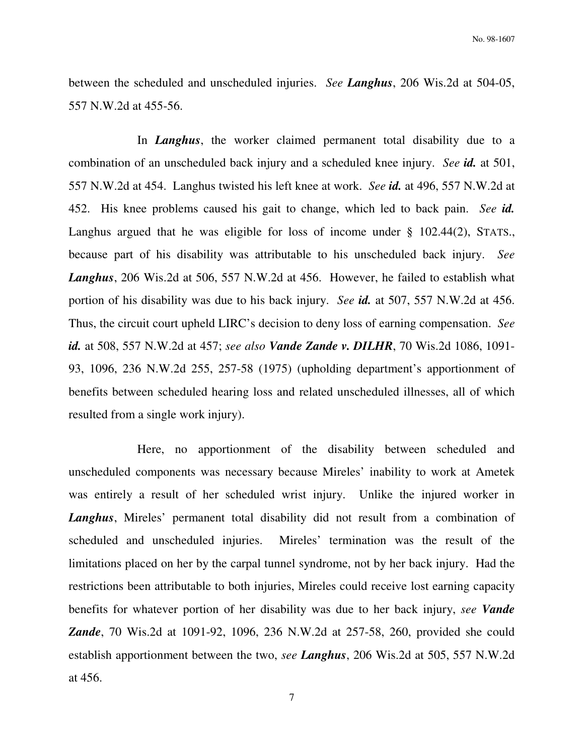between the scheduled and unscheduled injuries. *See Langhus*, 206 Wis.2d at 504-05, 557 N.W.2d at 455-56.

 In *Langhus*, the worker claimed permanent total disability due to a combination of an unscheduled back injury and a scheduled knee injury. *See id.* at 501, 557 N.W.2d at 454. Langhus twisted his left knee at work. *See id.* at 496, 557 N.W.2d at 452. His knee problems caused his gait to change, which led to back pain. *See id.*  Langhus argued that he was eligible for loss of income under § 102.44(2), STATS., because part of his disability was attributable to his unscheduled back injury. *See Langhus*, 206 Wis.2d at 506, 557 N.W.2d at 456. However, he failed to establish what portion of his disability was due to his back injury. *See id.* at 507, 557 N.W.2d at 456. Thus, the circuit court upheld LIRC's decision to deny loss of earning compensation. *See id.* at 508, 557 N.W.2d at 457; *see also Vande Zande v. DILHR*, 70 Wis.2d 1086, 1091- 93, 1096, 236 N.W.2d 255, 257-58 (1975) (upholding department's apportionment of benefits between scheduled hearing loss and related unscheduled illnesses, all of which resulted from a single work injury).

 Here, no apportionment of the disability between scheduled and unscheduled components was necessary because Mireles' inability to work at Ametek was entirely a result of her scheduled wrist injury. Unlike the injured worker in *Langhus*, Mireles' permanent total disability did not result from a combination of scheduled and unscheduled injuries. Mireles' termination was the result of the limitations placed on her by the carpal tunnel syndrome, not by her back injury. Had the restrictions been attributable to both injuries, Mireles could receive lost earning capacity benefits for whatever portion of her disability was due to her back injury, *see Vande Zande*, 70 Wis.2d at 1091-92, 1096, 236 N.W.2d at 257-58, 260, provided she could establish apportionment between the two, *see Langhus*, 206 Wis.2d at 505, 557 N.W.2d at 456.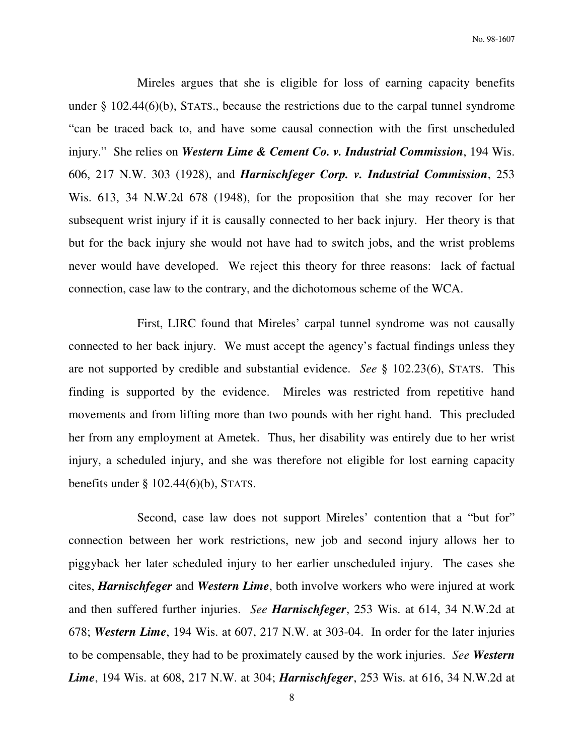Mireles argues that she is eligible for loss of earning capacity benefits under § 102.44(6)(b), STATS., because the restrictions due to the carpal tunnel syndrome "can be traced back to, and have some causal connection with the first unscheduled injury." She relies on *Western Lime & Cement Co. v. Industrial Commission*, 194 Wis. 606, 217 N.W. 303 (1928), and *Harnischfeger Corp. v. Industrial Commission*, 253 Wis. 613, 34 N.W.2d 678 (1948), for the proposition that she may recover for her subsequent wrist injury if it is causally connected to her back injury. Her theory is that but for the back injury she would not have had to switch jobs, and the wrist problems never would have developed. We reject this theory for three reasons: lack of factual connection, case law to the contrary, and the dichotomous scheme of the WCA.

 First, LIRC found that Mireles' carpal tunnel syndrome was not causally connected to her back injury. We must accept the agency's factual findings unless they are not supported by credible and substantial evidence. *See* § 102.23(6), STATS. This finding is supported by the evidence. Mireles was restricted from repetitive hand movements and from lifting more than two pounds with her right hand. This precluded her from any employment at Ametek. Thus, her disability was entirely due to her wrist injury, a scheduled injury, and she was therefore not eligible for lost earning capacity benefits under  $\S$  102.44(6)(b), STATS.

 Second, case law does not support Mireles' contention that a "but for" connection between her work restrictions, new job and second injury allows her to piggyback her later scheduled injury to her earlier unscheduled injury. The cases she cites, *Harnischfeger* and *Western Lime*, both involve workers who were injured at work and then suffered further injuries. *See Harnischfeger*, 253 Wis. at 614, 34 N.W.2d at 678; *Western Lime*, 194 Wis. at 607, 217 N.W. at 303-04. In order for the later injuries to be compensable, they had to be proximately caused by the work injuries. *See Western Lime*, 194 Wis. at 608, 217 N.W. at 304; *Harnischfeger*, 253 Wis. at 616, 34 N.W.2d at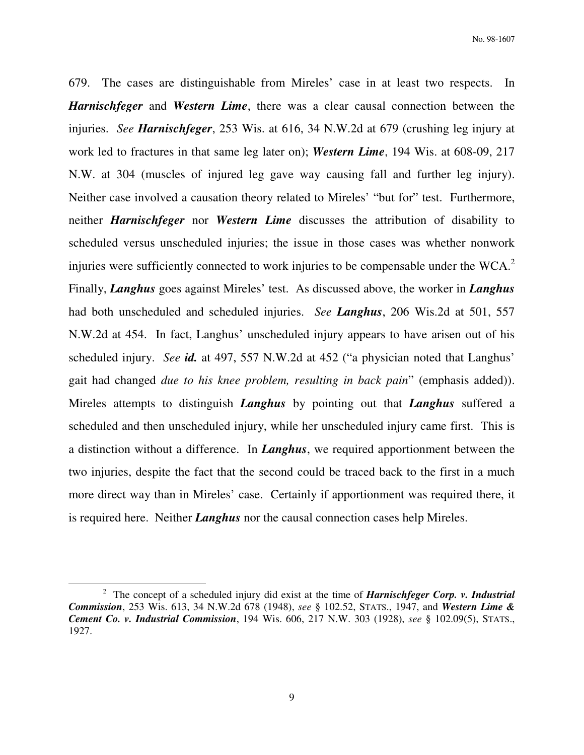679. The cases are distinguishable from Mireles' case in at least two respects. In *Harnischfeger* and *Western Lime*, there was a clear causal connection between the injuries. *See Harnischfeger*, 253 Wis. at 616, 34 N.W.2d at 679 (crushing leg injury at work led to fractures in that same leg later on); *Western Lime*, 194 Wis. at 608-09, 217 N.W. at 304 (muscles of injured leg gave way causing fall and further leg injury). Neither case involved a causation theory related to Mireles' "but for" test. Furthermore, neither *Harnischfeger* nor *Western Lime* discusses the attribution of disability to scheduled versus unscheduled injuries; the issue in those cases was whether nonwork injuries were sufficiently connected to work injuries to be compensable under the WCA. $2$ Finally, *Langhus* goes against Mireles' test. As discussed above, the worker in *Langhus* had both unscheduled and scheduled injuries. *See Langhus*, 206 Wis.2d at 501, 557 N.W.2d at 454. In fact, Langhus' unscheduled injury appears to have arisen out of his scheduled injury. *See id.* at 497, 557 N.W.2d at 452 ("a physician noted that Langhus' gait had changed *due to his knee problem, resulting in back pain*" (emphasis added)). Mireles attempts to distinguish *Langhus* by pointing out that *Langhus* suffered a scheduled and then unscheduled injury, while her unscheduled injury came first. This is a distinction without a difference. In *Langhus*, we required apportionment between the two injuries, despite the fact that the second could be traced back to the first in a much more direct way than in Mireles' case. Certainly if apportionment was required there, it is required here. Neither *Langhus* nor the causal connection cases help Mireles.

 $\overline{a}$ 

<sup>2</sup> The concept of a scheduled injury did exist at the time of *Harnischfeger Corp. v. Industrial Commission*, 253 Wis. 613, 34 N.W.2d 678 (1948), *see* § 102.52, STATS., 1947, and *Western Lime & Cement Co. v. Industrial Commission*, 194 Wis. 606, 217 N.W. 303 (1928), *see* § 102.09(5), STATS., 1927.